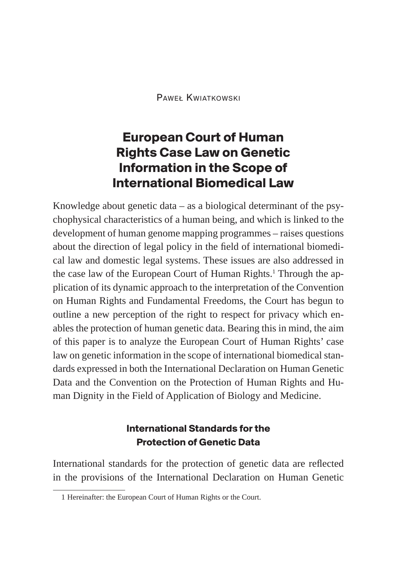Paweł Kwiatkowski

# **European Court of Human Rights Case Law on Genetic Information in the Scope of International Biomedical Law**

Knowledge about genetic data – as a biological determinant of the psychophysical characteristics of a human being, and which is linked to the development of human genome mapping programmes – raises questions about the direction of legal policy in the field of international biomedical law and domestic legal systems. These issues are also addressed in the case law of the European Court of Human Rights.<sup>1</sup> Through the application of its dynamic approach to the interpretation of the Convention on Human Rights and Fundamental Freedoms, the Court has begun to outline a new perception of the right to respect for privacy which enables the protection of human genetic data. Bearing this in mind, the aim of this paper is to analyze the European Court of Human Rights' case law on genetic information in the scope of international biomedical standards expressed in both the International Declaration on Human Genetic Data and the Convention on the Protection of Human Rights and Human Dignity in the Field of Application of Biology and Medicine.

### **International Standards for the Protection of Genetic Data**

International standards for the protection of genetic data are reflected in the provisions of the International Declaration on Human Genetic

<sup>1</sup> Hereinafter: the European Court of Human Rights or the Court.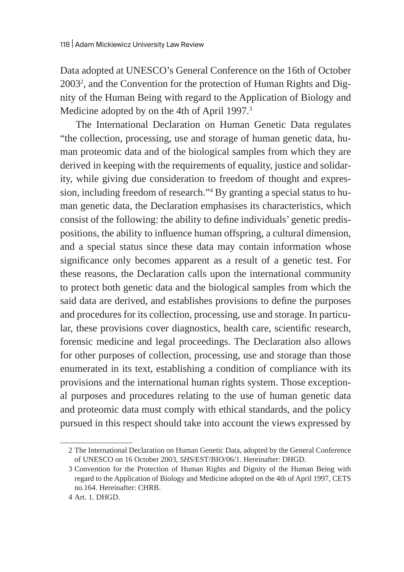Data adopted at UNESCO's General Conference on the 16th of October 2003<sup>2</sup>, and the Convention for the protection of Human Rights and Dignity of the Human Being with regard to the Application of Biology and Medicine adopted by on the 4th of April 1997.<sup>3</sup>

The International Declaration on Human Genetic Data regulates "the collection, processing, use and storage of human genetic data, human proteomic data and of the biological samples from which they are derived in keeping with the requirements of equality, justice and solidarity, while giving due consideration to freedom of thought and expression, including freedom of research."4 By granting a special status to human genetic data, the Declaration emphasises its characteristics, which consist of the following: the ability to define individuals' genetic predispositions, the ability to influence human offspring, a cultural dimension, and a special status since these data may contain information whose significance only becomes apparent as a result of a genetic test. For these reasons, the Declaration calls upon the international community to protect both genetic data and the biological samples from which the said data are derived, and establishes provisions to define the purposes and procedures for its collection, processing, use and storage. In particular, these provisions cover diagnostics, health care, scientific research, forensic medicine and legal proceedings. The Declaration also allows for other purposes of collection, processing, use and storage than those enumerated in its text, establishing a condition of compliance with its provisions and the international human rights system. Those exceptional purposes and procedures relating to the use of human genetic data and proteomic data must comply with ethical standards, and the policy pursued in this respect should take into account the views expressed by

<sup>2</sup> The International Declaration on Human Genetic Data, adopted by the General Conference of UNESCO on 16 October 2003, *SHS*/EST/BIO/06/1. Hereinafter: DHGD.

<sup>3</sup> Convention for the Protection of Human Rights and Dignity of the Human Being with regard to the Application of Biology and Medicine adopted on the 4th of April 1997, CETS no.164. Hereinafter: CHRB.

<sup>4</sup> Art. 1. DHGD.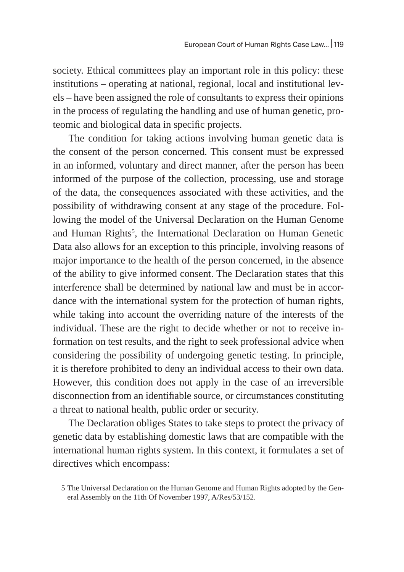society. Ethical committees play an important role in this policy: these institutions – operating at national, regional, local and institutional levels – have been assigned the role of consultants to express their opinions in the process of regulating the handling and use of human genetic, proteomic and biological data in specific projects.

The condition for taking actions involving human genetic data is the consent of the person concerned. This consent must be expressed in an informed, voluntary and direct manner, after the person has been informed of the purpose of the collection, processing, use and storage of the data, the consequences associated with these activities, and the possibility of withdrawing consent at any stage of the procedure. Following the model of the Universal Declaration on the Human Genome and Human Rights<sup>5</sup>, the International Declaration on Human Genetic Data also allows for an exception to this principle, involving reasons of major importance to the health of the person concerned, in the absence of the ability to give informed consent. The Declaration states that this interference shall be determined by national law and must be in accordance with the international system for the protection of human rights, while taking into account the overriding nature of the interests of the individual. These are the right to decide whether or not to receive information on test results, and the right to seek professional advice when considering the possibility of undergoing genetic testing. In principle, it is therefore prohibited to deny an individual access to their own data. However, this condition does not apply in the case of an irreversible disconnection from an identifiable source, or circumstances constituting a threat to national health, public order or security.

The Declaration obliges States to take steps to protect the privacy of genetic data by establishing domestic laws that are compatible with the international human rights system. In this context, it formulates a set of directives which encompass:

<sup>5</sup> The Universal Declaration on the Human Genome and Human Rights adopted by the General Assembly on the 11th Of November 1997, A/Res/53/152.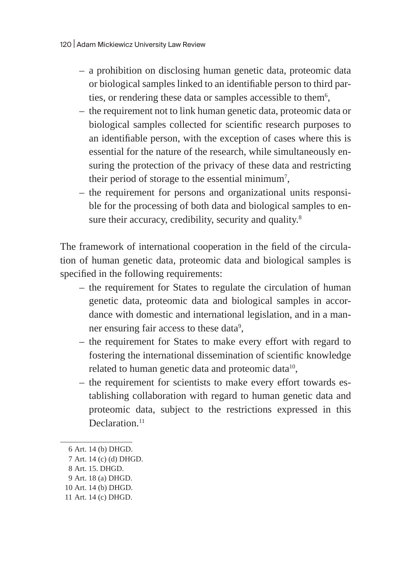- a prohibition on disclosing human genetic data, proteomic data or biological samples linked to an identifiable person to third parties, or rendering these data or samples accessible to them $^6\!$
- the requirement not to link human genetic data, proteomic data or biological samples collected for scientific research purposes to an identifiable person, with the exception of cases where this is essential for the nature of the research, while simultaneously ensuring the protection of the privacy of these data and restricting their period of storage to the essential minimum $^7\!$
- the requirement for persons and organizational units responsible for the processing of both data and biological samples to ensure their accuracy, credibility, security and quality.<sup>8</sup>

The framework of international cooperation in the field of the circulation of human genetic data, proteomic data and biological samples is specified in the following requirements:

- the requirement for States to regulate the circulation of human genetic data, proteomic data and biological samples in accordance with domestic and international legislation, and in a manner ensuring fair access to these data $^9\!$
- the requirement for States to make every effort with regard to fostering the international dissemination of scientific knowledge related to human genetic data and proteomic data $^{10}$ ,
- the requirement for scientists to make every effort towards establishing collaboration with regard to human genetic data and proteomic data, subject to the restrictions expressed in this Declaration.<sup>11</sup>

<sup>6</sup> Art. 14 (b) DHGD.

<sup>7</sup> Art. 14 (c) (d) DHGD.

<sup>8</sup> Art. 15. DHGD.

<sup>9</sup> Art. 18 (a) DHGD.

<sup>10</sup> Art. 14 (b) DHGD.

<sup>11</sup> Art. 14 (c) DHGD.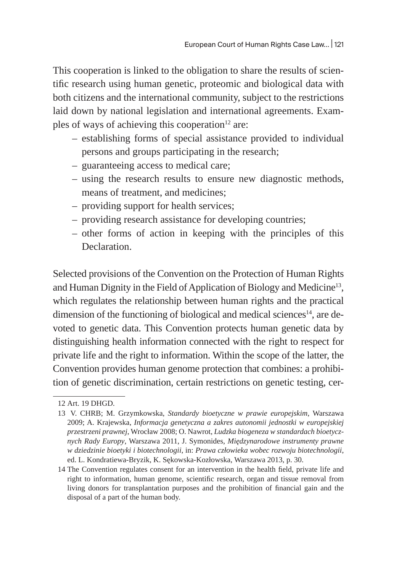This cooperation is linked to the obligation to share the results of scientific research using human genetic, proteomic and biological data with both citizens and the international community, subject to the restrictions laid down by national legislation and international agreements. Examples of ways of achieving this cooperation $12$  are:

- establishing forms of special assistance provided to individual persons and groups participating in the research;
- guaranteeing access to medical care;
- using the research results to ensure new diagnostic methods, means of treatment, and medicines;
- providing support for health services;
- providing research assistance for developing countries;
- other forms of action in keeping with the principles of this Declaration.

Selected provisions of the Convention on the Protection of Human Rights and Human Dignity in the Field of Application of Biology and Medicine<sup>13</sup>, which regulates the relationship between human rights and the practical dimension of the functioning of biological and medical sciences $^{14}$ , are devoted to genetic data. This Convention protects human genetic data by distinguishing health information connected with the right to respect for private life and the right to information. Within the scope of the latter, the Convention provides human genome protection that combines: a prohibition of genetic discrimination, certain restrictions on genetic testing, cer-

<sup>12</sup> Art. 19 DHGD.

<sup>13</sup> V. CHRB; M. Grzymkowska, *Standardy bioetyczne w prawie europejskim*, Warszawa 2009; A. Krajewska, *Informacja genetyczna a zakres autonomii jednostki w europejskiej przestrzeni prawnej*, Wrocław 2008; O. Nawrot, *Ludzka biogeneza w standardach bioetycznych Rady Europy*, Warszawa 2011, J. Symonides, *Międzynarodowe instrumenty prawne w dziedzinie bioetyki i biotechnologii*, in: *Prawa człowieka wobec rozwoju biotechnologii*, ed. L. Kondratiewa-Bryzik, K. Sękowska-Kozłowska, Warszawa 2013, p. 30.

<sup>14</sup> The Convention regulates consent for an intervention in the health field, private life and right to information, human genome, scientific research, organ and tissue removal from living donors for transplantation purposes and the prohibition of financial gain and the disposal of a part of the human body.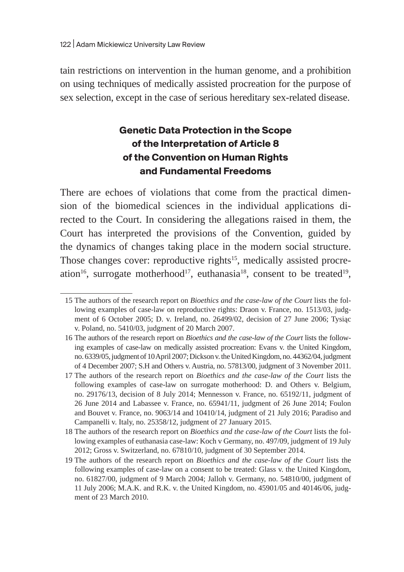tain restrictions on intervention in the human genome, and a prohibition on using techniques of medically assisted procreation for the purpose of sex selection, except in the case of serious hereditary sex-related disease.

# **Genetic Data Protection in the Scope of the Interpretation of Article 8 of the Convention on Human Rights and Fundamental Freedoms**

There are echoes of violations that come from the practical dimension of the biomedical sciences in the individual applications directed to the Court. In considering the allegations raised in them, the Court has interpreted the provisions of the Convention, guided by the dynamics of changes taking place in the modern social structure. Those changes cover: reproductive rights<sup>15</sup>, medically assisted procreation<sup>16</sup>, surrogate motherhood<sup>17</sup>, euthanasia<sup>18</sup>, consent to be treated<sup>19</sup>,

<sup>15</sup> The authors of the research report on *Bioethics and the case-law of the Court* lists the following examples of case-law on reproductive rights: Draon v. France, no. 1513/03, judgment of 6 October 2005; D. v. Ireland, no. 26499/02, decision of 27 June 2006; Tysiąc v. Poland, no. 5410/03, judgment of 20 March 2007.

<sup>16</sup> The authors of the research report on *Bioethics and the case-law of the Court* lists the following examples of case-law on medically assisted procreation: Evans v. the United Kingdom, no.6339/05, judgment of 10 April 2007; Dickson v. the United Kingdom, no. 44362/04, judgment of 4 December 2007; S.H and Others v. Austria, no. 57813/00, judgment of 3 November 2011.

<sup>17</sup> The authors of the research report on *Bioethics and the case-law of the Court* lists the following examples of case-law on surrogate motherhood: D. and Others v. Belgium, no. 29176/13, decision of 8 July 2014; Mennesson v. France, no. 65192/11, judgment of 26 June 2014 and Labassee v. France, no. 65941/11, judgment of 26 June 2014; Foulon and Bouvet v. France, no. 9063/14 and 10410/14, judgment of 21 July 2016; Paradiso and Campanelli v. Italy, no. 25358/12, judgment of 27 January 2015.

<sup>18</sup> The authors of the research report on *Bioethics and the case-law of the Court* lists the following examples of euthanasia case-law: Koch v Germany, no. 497/09, judgment of 19 July 2012; Gross v. Switzerland, no. 67810/10, judgment of 30 September 2014.

<sup>19</sup> The authors of the research report on *Bioethics and the case-law of the Court* lists the following examples of case-law on a consent to be treated: Glass v. the United Kingdom, no. 61827/00, judgment of 9 March 2004; Jalloh v. Germany, no. 54810/00, judgment of 11 July 2006; M.A.K. and R.K. v. the United Kingdom, no. 45901/05 and 40146/06, judgment of 23 March 2010.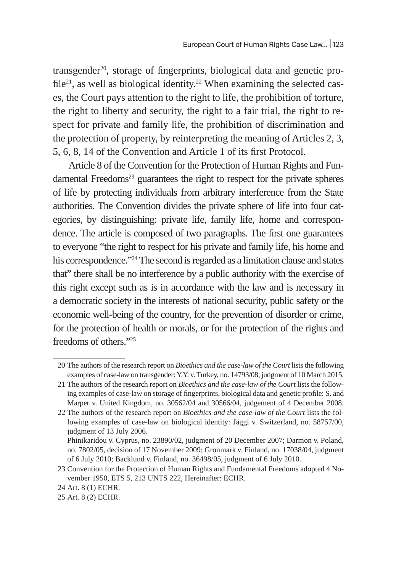transgender<sup>20</sup>, storage of fingerprints, biological data and genetic profile<sup>21</sup>, as well as biological identity.<sup>22</sup> When examining the selected cases, the Court pays attention to the right to life, the prohibition of torture, the right to liberty and security, the right to a fair trial, the right to respect for private and family life, the prohibition of discrimination and the protection of property, by reinterpreting the meaning of Articles 2, 3, 5, 6, 8, 14 of the Convention and Article 1 of its first Protocol.

Article 8 of the Convention for the Protection of Human Rights and Fundamental Freedoms<sup>23</sup> guarantees the right to respect for the private spheres of life by protecting individuals from arbitrary interference from the State authorities. The Convention divides the private sphere of life into four categories, by distinguishing: private life, family life, home and correspondence. The article is composed of two paragraphs. The first one guarantees to everyone "the right to respect for his private and family life, his home and his correspondence."<sup>24</sup> The second is regarded as a limitation clause and states that" there shall be no interference by a public authority with the exercise of this right except such as is in accordance with the law and is necessary in a democratic society in the interests of national security, public safety or the economic well-being of the country, for the prevention of disorder or crime, for the protection of health or morals, or for the protection of the rights and freedoms of others."25

<sup>20</sup> The authors of the research report on *Bioethics and the case-law of the Court* lists the following examples of case-law on transgender: Y.Y. v. Turkey, no. 14793/08, judgment of 10 March 2015.

<sup>21</sup> The authors of the research report on *Bioethics and the case-law of the Court* lists the following examples of case-law on storage of fingerprints, biological data and genetic profile: S. and Marper v. United Kingdom, no. 30562/04 and 30566/04, judgement of 4 December 2008.

<sup>22</sup> The authors of the research report on *Bioethics and the case-law of the Court* lists the following examples of case-law on biological identity: Jäggi v. Switzerland, no. 58757/00, judgment of 13 July 2006.

Phinikaridou v. Cyprus, no. 23890/02, judgment of 20 December 2007; Darmon v. Poland, no. 7802/05, decision of 17 November 2009; Gronmark v. Finland, no. 17038/04, judgment of 6 July 2010; Backlund v. Finland, no. 36498/05, judgment of 6 July 2010.

<sup>23</sup> Convention for the Protection of Human Rights and Fundamental Freedoms adopted 4 November 1950, ETS 5, 213 UNTS 222, Hereinafter: ECHR.

<sup>24</sup> Art. 8 (1) ECHR.

<sup>25</sup> Art. 8 (2) ECHR.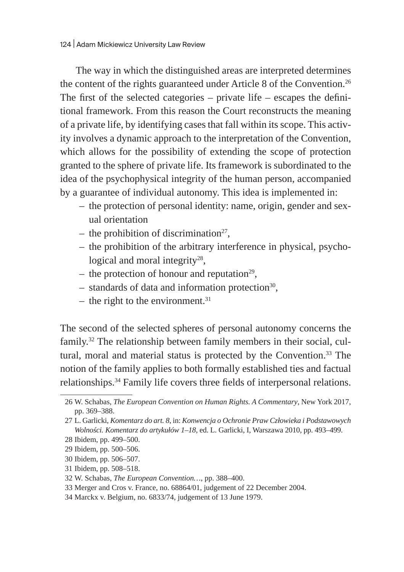The way in which the distinguished areas are interpreted determines the content of the rights guaranteed under Article 8 of the Convention.<sup>26</sup> The first of the selected categories  $-$  private life  $-$  escapes the definitional framework. From this reason the Court reconstructs the meaning of a private life, by identifying cases that fall within its scope. This activity involves a dynamic approach to the interpretation of the Convention, which allows for the possibility of extending the scope of protection granted to the sphere of private life. Its framework is subordinated to the idea of the psychophysical integrity of the human person, accompanied by a guarantee of individual autonomy. This idea is implemented in:

- the protection of personal identity: name, origin, gender and sexual orientation
- the prohibition of discrimination<sup>27</sup>,
- the prohibition of the arbitrary interference in physical, psychological and moral integrity<sup>28</sup>,
- the protection of honour and reputation<sup>29</sup>,
- $-$  standards of data and information protection<sup>30</sup>,
- the right to the environment. $31$

The second of the selected spheres of personal autonomy concerns the family.32 The relationship between family members in their social, cultural, moral and material status is protected by the Convention.<sup>33</sup> The notion of the family applies to both formally established ties and factual relationships.34 Family life covers three fields of interpersonal relations.

30 Ibidem, pp. 506–507.

<sup>26</sup> W. Schabas, *The European Convention on Human Rights. A Commentary*, New York 2017, pp. 369–388.

<sup>27</sup> L. Garlicki, *Komentarz do art. 8*, in: *Konwencja o Ochronie Praw Człowieka i Podstawowych Wolności. Komentarz do artykułów 1–18*, ed. L. Garlicki, I, Warszawa 2010, pp. 493–499.

<sup>28</sup> Ibidem, pp. 499–500.

<sup>29</sup> Ibidem, pp. 500–506.

<sup>31</sup> Ibidem, pp. 508–518.

<sup>32</sup> W. Schabas, *The European Convention…*, pp. 388–400.

<sup>33</sup> Merger and Cros v. France, no. 68864/01, judgement of 22 December 2004.

<sup>34</sup> Marckx v. Belgium, no. 6833/74, judgement of 13 June 1979.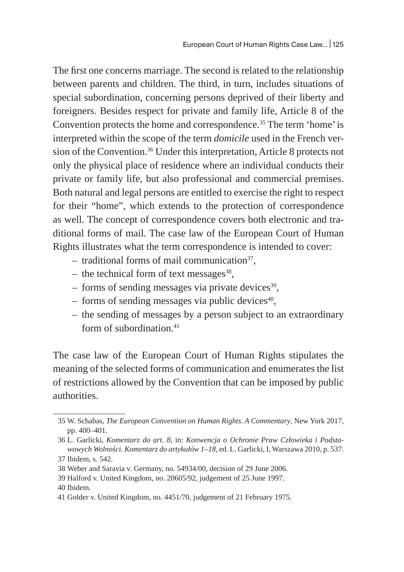The first one concerns marriage. The second is related to the relationship between parents and children. The third, in turn, includes situations of special subordination, concerning persons deprived of their liberty and foreigners. Besides respect for private and family life, Article 8 of the Convention protects the home and correspondence.35 The term 'home' is interpreted within the scope of the term *domicile* used in the French version of the Convention.<sup>36</sup> Under this interpretation, Article 8 protects not only the physical place of residence where an individual conducts their private or family life, but also professional and commercial premises. Both natural and legal persons are entitled to exercise the right to respect for their "home", which extends to the protection of correspondence as well. The concept of correspondence covers both electronic and traditional forms of mail. The case law of the European Court of Human Rights illustrates what the term correspondence is intended to cover:

- $-$  traditional forms of mail communication<sup>37</sup>,
- the technical form of text messages $^{38}$ ,
- $-$  forms of sending messages via private devices<sup>39</sup>.
- $-$  forms of sending messages via public devices<sup>40</sup>,
- the sending of messages by a person subject to an extraordinary form of subordination.<sup>41</sup>

The case law of the European Court of Human Rights stipulates the meaning of the selected forms of communication and enumerates the list of restrictions allowed by the Convention that can be imposed by public authorities.

<sup>35</sup> W. Schabas, *The European Convention on Human Rights. A Commentary*, New York 2017, pp. 400–401.

<sup>36</sup> L. Garlicki, *Komentarz do art. 8*, in: *Konwencja o Ochronie Praw Człowieka i Podstawowych Wolności. Komentarz do artykułów 1–18*, ed. L. Garlicki, I, Warszawa 2010, p. 537. 37 Ibidem, s. 542.

<sup>38</sup> Weber and Saravia v. Germany, no. 54934/00, decision of 29 June 2006.

<sup>39</sup> Halford v. United Kingdom, no. 20605/92, judgement of 25 June 1997.

<sup>40</sup> Ibidem.

<sup>41</sup> Golder v. United Kingdom, no. 4451/70, judgement of 21 February 1975.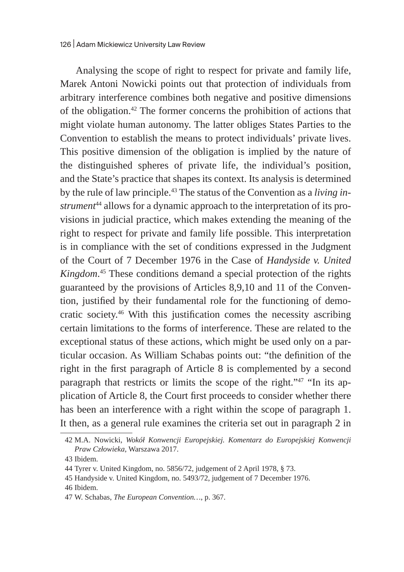Analysing the scope of right to respect for private and family life, Marek Antoni Nowicki points out that protection of individuals from arbitrary interference combines both negative and positive dimensions of the obligation.42 The former concerns the prohibition of actions that might violate human autonomy. The latter obliges States Parties to the Convention to establish the means to protect individuals' private lives. This positive dimension of the obligation is implied by the nature of the distinguished spheres of private life, the individual's position, and the State's practice that shapes its context. Its analysis is determined by the rule of law principle.43 The status of the Convention as a *living instrument*44 allows for a dynamic approach to the interpretation of its provisions in judicial practice, which makes extending the meaning of the right to respect for private and family life possible. This interpretation is in compliance with the set of conditions expressed in the Judgment of the Court of 7 December 1976 in the Case of *Handyside v. United Kingdom*. 45 These conditions demand a special protection of the rights guaranteed by the provisions of Articles 8,9,10 and 11 of the Convention, justified by their fundamental role for the functioning of democratic society.46 With this justification comes the necessity ascribing certain limitations to the forms of interference. These are related to the exceptional status of these actions, which might be used only on a particular occasion. As William Schabas points out: "the definition of the right in the first paragraph of Article 8 is complemented by a second paragraph that restricts or limits the scope of the right."47 "In its application of Article 8, the Court first proceeds to consider whether there has been an interference with a right within the scope of paragraph 1. It then, as a general rule examines the criteria set out in paragraph 2 in

<sup>42</sup> M.A. Nowicki, *Wokół Konwencji Europejskiej. Komentarz do Europejskiej Konwencji Praw Człowieka*, Warszawa 2017.

<sup>43</sup> Ibidem.

<sup>44</sup> Tyrer v. United Kingdom, no. 5856/72, judgement of 2 April 1978, § 73.

<sup>45</sup> Handyside v. United Kingdom, no. 5493/72, judgement of 7 December 1976.

<sup>46</sup> Ibidem.

<sup>47</sup> W. Schabas, *The European Convention…*, p. 367.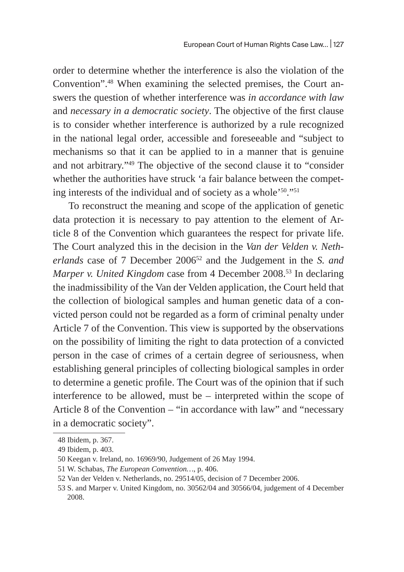order to determine whether the interference is also the violation of the Convention".48 When examining the selected premises, the Court answers the question of whether interference was *in accordance with law* and *necessary in a democratic society*. The objective of the first clause is to consider whether interference is authorized by a rule recognized in the national legal order, accessible and foreseeable and "subject to mechanisms so that it can be applied to in a manner that is genuine and not arbitrary."49 The objective of the second clause it to "consider whether the authorities have struck 'a fair balance between the competing interests of the individual and of society as a whole'50."51

To reconstruct the meaning and scope of the application of genetic data protection it is necessary to pay attention to the element of Article 8 of the Convention which guarantees the respect for private life. The Court analyzed this in the decision in the *Van der Velden v. Netherlands* case of 7 December 200652 and the Judgement in the *S. and Marper v. United Kingdom* case from 4 December 2008.<sup>53</sup> In declaring the inadmissibility of the Van der Velden application, the Court held that the collection of biological samples and human genetic data of a convicted person could not be regarded as a form of criminal penalty under Article 7 of the Convention. This view is supported by the observations on the possibility of limiting the right to data protection of a convicted person in the case of crimes of a certain degree of seriousness, when establishing general principles of collecting biological samples in order to determine a genetic profile. The Court was of the opinion that if such interference to be allowed, must be – interpreted within the scope of Article 8 of the Convention – "in accordance with law" and "necessary in a democratic society".

<sup>48</sup> Ibidem, p. 367.

<sup>49</sup> Ibidem, p. 403.

<sup>50</sup> Keegan v. Ireland, no. 16969/90, Judgement of 26 May 1994.

<sup>51</sup> W. Schabas, *The European Convention…*, p. 406.

<sup>52</sup> Van der Velden v. Netherlands, no. 29514/05, decision of 7 December 2006.

<sup>53</sup> S. and Marper v. United Kingdom, no. 30562/04 and 30566/04, judgement of 4 December 2008.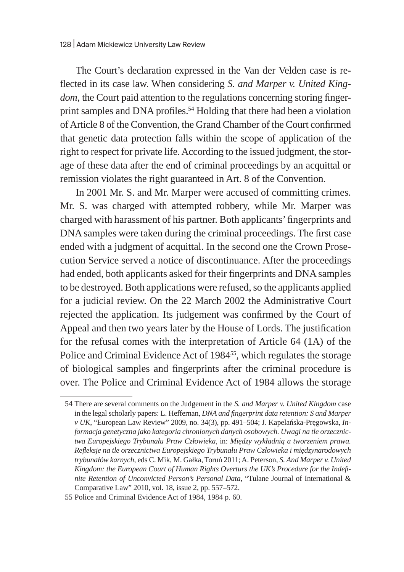The Court's declaration expressed in the Van der Velden case is reflected in its case law. When considering *S. and Marper v. United Kingdom*, the Court paid attention to the regulations concerning storing fingerprint samples and DNA profiles.<sup>54</sup> Holding that there had been a violation of Article 8 of the Convention, the Grand Chamber of the Court confirmed that genetic data protection falls within the scope of application of the right to respect for private life. According to the issued judgment, the storage of these data after the end of criminal proceedings by an acquittal or remission violates the right guaranteed in Art. 8 of the Convention.

In 2001 Mr. S. and Mr. Marper were accused of committing crimes. Mr. S. was charged with attempted robbery, while Mr. Marper was charged with harassment of his partner. Both applicants' fingerprints and DNA samples were taken during the criminal proceedings. The first case ended with a judgment of acquittal. In the second one the Crown Prosecution Service served a notice of discontinuance. After the proceedings had ended, both applicants asked for their fingerprints and DNA samples to be destroyed. Both applications were refused, so the applicants applied for a judicial review. On the 22 March 2002 the Administrative Court rejected the application. Its judgement was confirmed by the Court of Appeal and then two years later by the House of Lords. The justification for the refusal comes with the interpretation of Article 64 (1A) of the Police and Criminal Evidence Act of 1984<sup>55</sup>, which regulates the storage of biological samples and fingerprints after the criminal procedure is over. The Police and Criminal Evidence Act of 1984 allows the storage

<sup>54</sup> There are several comments on the Judgement in the *S. and Marper v. United Kingdom* case in the legal scholarly papers: L. Heffernan, *DNA and fingerprint data retention: S and Marper v UK*, "European Law Review" 2009, no. 34(3), pp. 491–504; J. Kapelańska-Pręgowska, *Informacja genetyczna jako kategoria chronionych danych osobowych. Uwagi na tle orzecznictwa Europejskiego Trybunału Praw Człowieka*, in: *Między wykładnią a tworzeniem prawa. Refleksje na tle orzecznictwa Europejskiego Trybunału Praw Człowieka i międzynarodowych trybunałów karnych*, eds C. Mik, M. Gałka, Toruń 2011; A. Peterson, *S. And Marper v. United Kingdom: the European Court of Human Rights Overturs the UK's Procedure for the Indefinite Retention of Unconvicted Person's Personal Data*, "Tulane Journal of International & Comparative Law" 2010, vol. 18, issue 2, pp. 557–572.

<sup>55</sup> Police and Criminal Evidence Act of 1984, 1984 p. 60.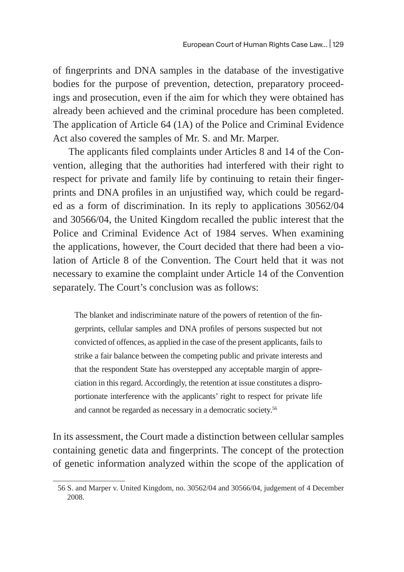of fingerprints and DNA samples in the database of the investigative bodies for the purpose of prevention, detection, preparatory proceedings and prosecution, even if the aim for which they were obtained has already been achieved and the criminal procedure has been completed. The application of Article 64 (1A) of the Police and Criminal Evidence Act also covered the samples of Mr. S. and Mr. Marper.

The applicants filed complaints under Articles 8 and 14 of the Convention, alleging that the authorities had interfered with their right to respect for private and family life by continuing to retain their fingerprints and DNA profiles in an unjustified way, which could be regarded as a form of discrimination. In its reply to applications 30562/04 and 30566/04, the United Kingdom recalled the public interest that the Police and Criminal Evidence Act of 1984 serves. When examining the applications, however, the Court decided that there had been a violation of Article 8 of the Convention. The Court held that it was not necessary to examine the complaint under Article 14 of the Convention separately. The Court's conclusion was as follows:

The blanket and indiscriminate nature of the powers of retention of the fingerprints, cellular samples and DNA profiles of persons suspected but not convicted of offences, as applied in the case of the present applicants, fails to strike a fair balance between the competing public and private interests and that the respondent State has overstepped any acceptable margin of appreciation in this regard. Accordingly, the retention at issue constitutes a disproportionate interference with the applicants' right to respect for private life and cannot be regarded as necessary in a democratic society.<sup>56</sup>

In its assessment, the Court made a distinction between cellular samples containing genetic data and fingerprints. The concept of the protection of genetic information analyzed within the scope of the application of

<sup>56</sup> S. and Marper v. United Kingdom, no. 30562/04 and 30566/04, judgement of 4 December 2008.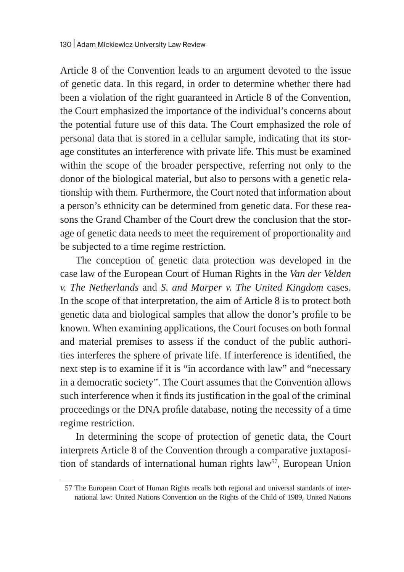Article 8 of the Convention leads to an argument devoted to the issue of genetic data. In this regard, in order to determine whether there had been a violation of the right guaranteed in Article 8 of the Convention, the Court emphasized the importance of the individual's concerns about the potential future use of this data. The Court emphasized the role of personal data that is stored in a cellular sample, indicating that its storage constitutes an interference with private life. This must be examined within the scope of the broader perspective, referring not only to the donor of the biological material, but also to persons with a genetic relationship with them. Furthermore, the Court noted that information about a person's ethnicity can be determined from genetic data. For these reasons the Grand Chamber of the Court drew the conclusion that the storage of genetic data needs to meet the requirement of proportionality and be subjected to a time regime restriction.

The conception of genetic data protection was developed in the case law of the European Court of Human Rights in the *Van der Velden v. The Netherlands* and *S. and Marper v. The United Kingdom* cases. In the scope of that interpretation, the aim of Article 8 is to protect both genetic data and biological samples that allow the donor's profile to be known. When examining applications, the Court focuses on both formal and material premises to assess if the conduct of the public authorities interferes the sphere of private life. If interference is identified, the next step is to examine if it is "in accordance with law" and "necessary in a democratic society". The Court assumes that the Convention allows such interference when it finds its justification in the goal of the criminal proceedings or the DNA profile database, noting the necessity of a time regime restriction.

In determining the scope of protection of genetic data, the Court interprets Article 8 of the Convention through a comparative juxtaposition of standards of international human rights law<sup>57</sup>, European Union

<sup>57</sup> The European Court of Human Rights recalls both regional and universal standards of international law: United Nations Convention on the Rights of the Child of 1989, United Nations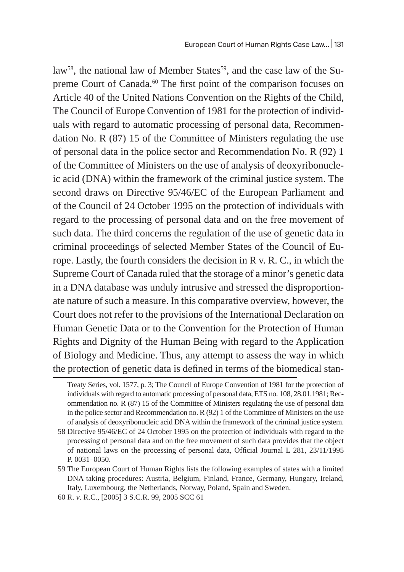law<sup>58</sup>, the national law of Member States<sup>59</sup>, and the case law of the Supreme Court of Canada.<sup>60</sup> The first point of the comparison focuses on Article 40 of the United Nations Convention on the Rights of the Child, The Council of Europe Convention of 1981 for the protection of individuals with regard to automatic processing of personal data, Recommendation No. R (87) 15 of the Committee of Ministers regulating the use of personal data in the police sector and Recommendation No. R (92) 1 of the Committee of Ministers on the use of analysis of deoxyribonucleic acid (DNA) within the framework of the criminal justice system. The second draws on Directive 95/46/EC of the European Parliament and of the Council of 24 October 1995 on the protection of individuals with regard to the processing of personal data and on the free movement of such data. The third concerns the regulation of the use of genetic data in criminal proceedings of selected Member States of the Council of Europe. Lastly, the fourth considers the decision in R v. R. C., in which the Supreme Court of Canada ruled that the storage of a minor's genetic data in a DNA database was unduly intrusive and stressed the disproportionate nature of such a measure. In this comparative overview, however, the Court does not refer to the provisions of the International Declaration on Human Genetic Data or to the Convention for the Protection of Human Rights and Dignity of the Human Being with regard to the Application of Biology and Medicine. Thus, any attempt to assess the way in which the protection of genetic data is defined in terms of the biomedical stan-

Treaty Series, vol. 1577, p. 3; The Council of Europe Convention of 1981 for the protection of individuals with regard to automatic processing of personal data, ETS no. 108, 28.01.1981; Recommendation no. R (87) 15 of the Committee of Ministers regulating the use of personal data in the police sector and Recommendation no. R (92) 1 of the Committee of Ministers on the use of analysis of deoxyribonucleic acid DNA within the framework of the criminal justice system.

<sup>58</sup> Directive 95/46/EC of 24 October 1995 on the protection of individuals with regard to the processing of personal data and on the free movement of such data provides that the object of national laws on the processing of personal data, Official Journal L 281, 23/11/1995 P. 0031–0050.

<sup>59</sup> The European Court of Human Rights lists the following examples of states with a limited DNA taking procedures: Austria, Belgium, Finland, France, Germany, Hungary, Ireland, Italy, Luxembourg, the Netherlands, Norway, Poland, Spain and Sweden.

<sup>60</sup> R. *v*. R.C., [2005] 3 S.C.R. 99, 2005 SCC 61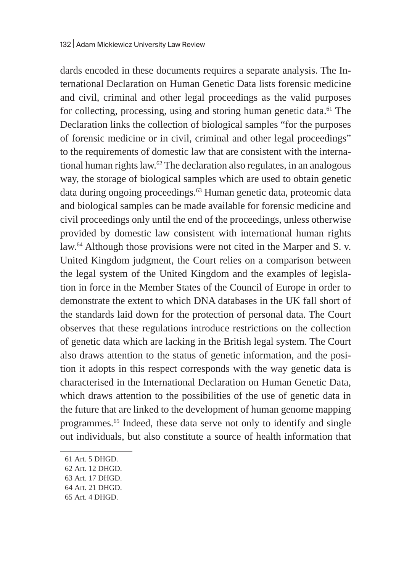dards encoded in these documents requires a separate analysis. The International Declaration on Human Genetic Data lists forensic medicine and civil, criminal and other legal proceedings as the valid purposes for collecting, processing, using and storing human genetic data.<sup>61</sup> The Declaration links the collection of biological samples "for the purposes of forensic medicine or in civil, criminal and other legal proceedings" to the requirements of domestic law that are consistent with the international human rights law.<sup>62</sup> The declaration also regulates, in an analogous way, the storage of biological samples which are used to obtain genetic data during ongoing proceedings.<sup>63</sup> Human genetic data, proteomic data and biological samples can be made available for forensic medicine and civil proceedings only until the end of the proceedings, unless otherwise provided by domestic law consistent with international human rights law.<sup>64</sup> Although those provisions were not cited in the Marper and S. v. United Kingdom judgment, the Court relies on a comparison between the legal system of the United Kingdom and the examples of legislation in force in the Member States of the Council of Europe in order to demonstrate the extent to which DNA databases in the UK fall short of the standards laid down for the protection of personal data. The Court observes that these regulations introduce restrictions on the collection of genetic data which are lacking in the British legal system. The Court also draws attention to the status of genetic information, and the position it adopts in this respect corresponds with the way genetic data is characterised in the International Declaration on Human Genetic Data, which draws attention to the possibilities of the use of genetic data in the future that are linked to the development of human genome mapping programmes.<sup>65</sup> Indeed, these data serve not only to identify and single out individuals, but also constitute a source of health information that

<sup>61</sup> Art. 5 DHGD.

<sup>62</sup> Art. 12 DHGD.

<sup>63</sup> Art. 17 DHGD.

<sup>64</sup> Art. 21 DHGD.

<sup>65</sup> Art. 4 DHGD.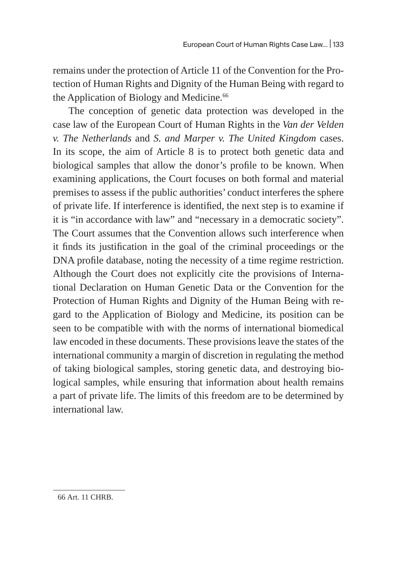remains under the protection of Article 11 of the Convention for the Protection of Human Rights and Dignity of the Human Being with regard to the Application of Biology and Medicine.<sup>66</sup>

The conception of genetic data protection was developed in the case law of the European Court of Human Rights in the *Van der Velden v. The Netherlands* and *S. and Marper v. The United Kingdom* cases. In its scope, the aim of Article 8 is to protect both genetic data and biological samples that allow the donor's profile to be known. When examining applications, the Court focuses on both formal and material premises to assess if the public authorities' conduct interferes the sphere of private life. If interference is identified, the next step is to examine if it is "in accordance with law" and "necessary in a democratic society". The Court assumes that the Convention allows such interference when it finds its justification in the goal of the criminal proceedings or the DNA profile database, noting the necessity of a time regime restriction. Although the Court does not explicitly cite the provisions of International Declaration on Human Genetic Data or the Convention for the Protection of Human Rights and Dignity of the Human Being with regard to the Application of Biology and Medicine, its position can be seen to be compatible with with the norms of international biomedical law encoded in these documents. These provisions leave the states of the international community a margin of discretion in regulating the method of taking biological samples, storing genetic data, and destroying biological samples, while ensuring that information about health remains a part of private life. The limits of this freedom are to be determined by international law.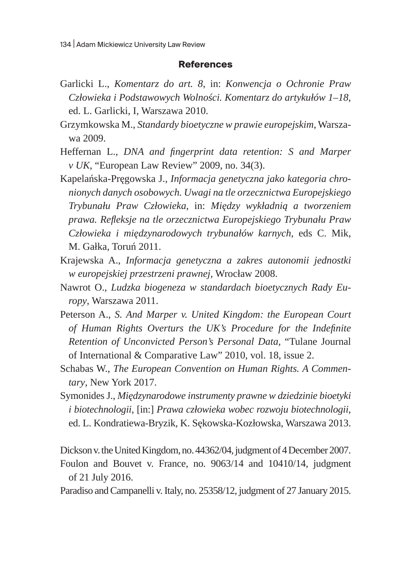#### **References**

- Garlicki L., *Komentarz do art. 8*, in: *Konwencja o Ochronie Praw Człowieka i Podstawowych Wolności. Komentarz do artykułów 1–18*, ed. L. Garlicki, I, Warszawa 2010.
- Grzymkowska M., *Standardy bioetyczne w prawie europejskim*, Warszawa 2009.
- Heffernan L., *DNA and fingerprint data retention: S and Marper v UK*, "European Law Review" 2009, no. 34(3).
- Kapelańska-Pręgowska J., *Informacja genetyczna jako kategoria chronionych danych osobowych. Uwagi na tle orzecznictwa Europejskiego Trybunału Praw Człowieka*, in: *Między wykładnią a tworzeniem prawa. Refleksje na tle orzecznictwa Europejskiego Trybunału Praw Człowieka i międzynarodowych trybunałów karnych*, eds C. Mik, M. Gałka, Toruń 2011.
- Krajewska A., *Informacja genetyczna a zakres autonomii jednostki w europejskiej przestrzeni prawnej*, Wrocław 2008.
- Nawrot O., *Ludzka biogeneza w standardach bioetycznych Rady Europy*, Warszawa 2011.
- Peterson A., *S. And Marper v. United Kingdom: the European Court of Human Rights Overturs the UK's Procedure for the Indefinite Retention of Unconvicted Person's Personal Data*, "Tulane Journal of International & Comparative Law" 2010, vol. 18, issue 2.
- Schabas W., *The European Convention on Human Rights. A Commentary*, New York 2017.
- Symonides J., *Międzynarodowe instrumenty prawne w dziedzinie bioetyki i biotechnologii*, [in:] *Prawa człowieka wobec rozwoju biotechnologii*, ed. L. Kondratiewa-Bryzik, K. Sękowska-Kozłowska, Warszawa 2013.

Dickson v. the United Kingdom, no. 44362/04, judgment of 4 December 2007. Foulon and Bouvet v. France, no. 9063/14 and 10410/14, judgment of 21 July 2016.

Paradiso and Campanelli v. Italy, no. 25358/12, judgment of 27 January 2015.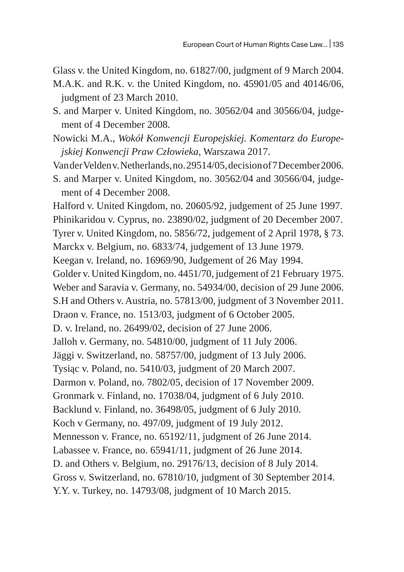Glass v. the United Kingdom, no. 61827/00, judgment of 9 March 2004.

- M.A.K. and R.K. v. the United Kingdom, no. 45901/05 and 40146/06, judgment of 23 March 2010.
- S. and Marper v. United Kingdom, no. 30562/04 and 30566/04, judgement of 4 December 2008.

Nowicki M.A., *Wokół Konwencji Europejskiej. Komentarz do Europejskiej Konwencji Praw Człowieka*, Warszawa 2017.

Van der Velden v. Netherlands, no. 29514/05, decision of 7 December 2006.

S. and Marper v. United Kingdom, no. 30562/04 and 30566/04, judgement of 4 December 2008.

Halford v. United Kingdom, no. 20605/92, judgement of 25 June 1997. Phinikaridou v. Cyprus, no. 23890/02, judgment of 20 December 2007. Tyrer v. United Kingdom, no. 5856/72, judgement of 2 April 1978, § 73. Marckx v. Belgium, no. 6833/74, judgement of 13 June 1979. Keegan v. Ireland, no. 16969/90, Judgement of 26 May 1994. Golder v. United Kingdom, no. 4451/70, judgement of 21 February 1975. Weber and Saravia v. Germany, no. 54934/00, decision of 29 June 2006. S.H and Others v. Austria, no. 57813/00, judgment of 3 November 2011. Draon v. France, no. 1513/03, judgment of 6 October 2005. D. v. Ireland, no. 26499/02, decision of 27 June 2006. Jalloh v. Germany, no. 54810/00, judgment of 11 July 2006. Jäggi v. Switzerland, no. 58757/00, judgment of 13 July 2006. Tysiąc v. Poland, no. 5410/03, judgment of 20 March 2007. Darmon v. Poland, no. 7802/05, decision of 17 November 2009. Gronmark v. Finland, no. 17038/04, judgment of 6 July 2010. Backlund v. Finland, no. 36498/05, judgment of 6 July 2010. Koch v Germany, no. 497/09, judgment of 19 July 2012. Mennesson v. France, no. 65192/11, judgment of 26 June 2014. Labassee v. France, no. 65941/11, judgment of 26 June 2014. D. and Others v. Belgium, no. 29176/13, decision of 8 July 2014. Gross v. Switzerland, no. 67810/10, judgment of 30 September 2014. Y.Y. v. Turkey, no. 14793/08, judgment of 10 March 2015.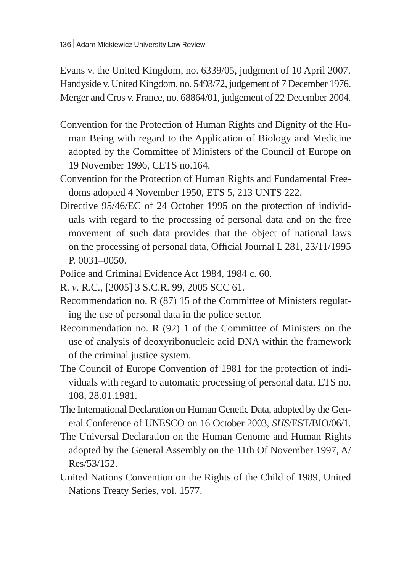Evans v. the United Kingdom, no. 6339/05, judgment of 10 April 2007. Handyside v. United Kingdom, no. 5493/72, judgement of 7 December 1976. Merger and Cros v. France, no. 68864/01, judgement of 22 December 2004.

- Convention for the Protection of Human Rights and Dignity of the Human Being with regard to the Application of Biology and Medicine adopted by the Committee of Ministers of the Council of Europe on 19 November 1996, CETS no.164.
- Convention for the Protection of Human Rights and Fundamental Freedoms adopted 4 November 1950, ETS 5, 213 UNTS 222.
- Directive 95/46/EC of 24 October 1995 on the protection of individuals with regard to the processing of personal data and on the free movement of such data provides that the object of national laws on the processing of personal data, Official Journal L 281, 23/11/1995 P. 0031–0050.
- Police and Criminal Evidence Act 1984, 1984 c. 60.
- R. *v*. R.C., [2005] 3 S.C.R. 99, 2005 SCC 61.
- Recommendation no. R (87) 15 of the Committee of Ministers regulating the use of personal data in the police sector.
- Recommendation no. R (92) 1 of the Committee of Ministers on the use of analysis of deoxyribonucleic acid DNA within the framework of the criminal justice system.
- The Council of Europe Convention of 1981 for the protection of individuals with regard to automatic processing of personal data, ETS no. 108, 28.01.1981.
- The International Declaration on Human Genetic Data, adopted by the General Conference of UNESCO on 16 October 2003, *SHS*/EST/BIO/06/1.
- The Universal Declaration on the Human Genome and Human Rights adopted by the General Assembly on the 11th Of November 1997, A/ Res/53/152.
- United Nations Convention on the Rights of the Child of 1989, United Nations Treaty Series, vol. 1577.